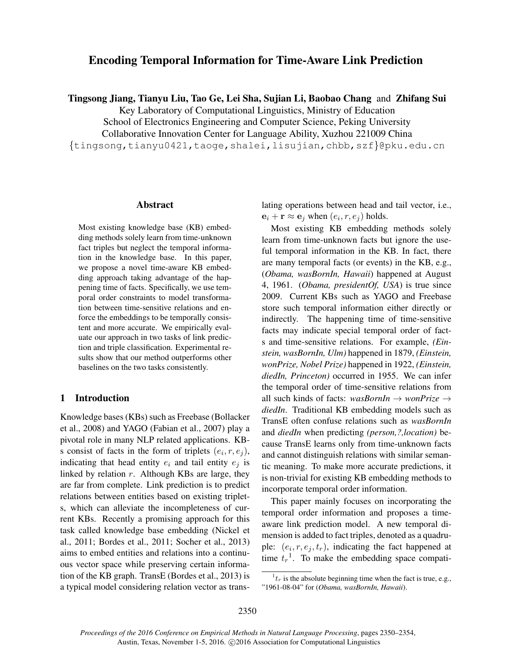# Encoding Temporal Information for Time-Aware Link Prediction

Tingsong Jiang, Tianyu Liu, Tao Ge, Lei Sha, Sujian Li, Baobao Chang and Zhifang Sui

Key Laboratory of Computational Linguistics, Ministry of Education School of Electronics Engineering and Computer Science, Peking University

Collaborative Innovation Center for Language Ability, Xuzhou 221009 China

{tingsong,tianyu0421,taoge,shalei,lisujian,chbb,szf}@pku.edu.cn

#### Abstract

Most existing knowledge base (KB) embedding methods solely learn from time-unknown fact triples but neglect the temporal information in the knowledge base. In this paper, we propose a novel time-aware KB embedding approach taking advantage of the happening time of facts. Specifically, we use temporal order constraints to model transformation between time-sensitive relations and enforce the embeddings to be temporally consistent and more accurate. We empirically evaluate our approach in two tasks of link prediction and triple classification. Experimental results show that our method outperforms other baselines on the two tasks consistently.

### 1 Introduction

Knowledge bases (KBs) such as Freebase (Bollacker et al., 2008) and YAGO (Fabian et al., 2007) play a pivotal role in many NLP related applications. KBs consist of facts in the form of triplets  $(e_i, r, e_j)$ , indicating that head entity  $e_i$  and tail entity  $e_j$  is linked by relation  $r$ . Although KBs are large, they are far from complete. Link prediction is to predict relations between entities based on existing triplets, which can alleviate the incompleteness of current KBs. Recently a promising approach for this task called knowledge base embedding (Nickel et al., 2011; Bordes et al., 2011; Socher et al., 2013) aims to embed entities and relations into a continuous vector space while preserving certain information of the KB graph. TransE (Bordes et al., 2013) is a typical model considering relation vector as translating operations between head and tail vector, i.e.,  $\mathbf{e}_i + \mathbf{r} \approx \mathbf{e}_j$  when  $(e_i, r, e_j)$  holds.

Most existing KB embedding methods solely learn from time-unknown facts but ignore the useful temporal information in the KB. In fact, there are many temporal facts (or events) in the KB, e.g., (*Obama, wasBornIn, Hawaii*) happened at August 4, 1961. (*Obama, presidentOf, USA*) is true since 2009. Current KBs such as YAGO and Freebase store such temporal information either directly or indirectly. The happening time of time-sensitive facts may indicate special temporal order of facts and time-sensitive relations. For example, *(Einstein, wasBornIn, Ulm)* happened in 1879, *(Einstein, wonPrize, Nobel Prize)* happened in 1922, *(Einstein, diedIn, Princeton)* occurred in 1955. We can infer the temporal order of time-sensitive relations from all such kinds of facts: *wasBornIn* → *wonPrize* → *diedIn*. Traditional KB embedding models such as TransE often confuse relations such as *wasBornIn* and *diedIn* when predicting *(person,?,location)* because TransE learns only from time-unknown facts and cannot distinguish relations with similar semantic meaning. To make more accurate predictions, it is non-trivial for existing KB embedding methods to incorporate temporal order information.

This paper mainly focuses on incorporating the temporal order information and proposes a timeaware link prediction model. A new temporal dimension is added to fact triples, denoted as a quadruple:  $(e_i, r, e_j, t_r)$ , indicating the fact happened at time  $t_r$ <sup>1</sup>. To make the embedding space compati-

 ${}^{1}t_r$  is the absolute beginning time when the fact is true, e.g., "1961-08-04" for (*Obama, wasBornIn, Hawaii*).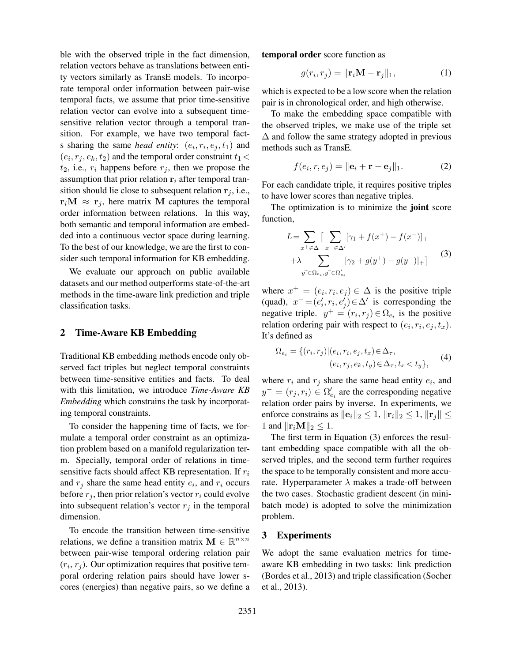ble with the observed triple in the fact dimension, relation vectors behave as translations between entity vectors similarly as TransE models. To incorporate temporal order information between pair-wise temporal facts, we assume that prior time-sensitive relation vector can evolve into a subsequent timesensitive relation vector through a temporal transition. For example, we have two temporal factis sharing the same *head entity*:  $(e_i, r_i, e_j, t_1)$  and  $(e_i, r_j, e_k, t_2)$  and the temporal order constraint  $t_1$  <  $t_2$ , i.e.,  $r_i$  happens before  $r_i$ , then we propose the assumption that prior relation  $r_i$  after temporal transition should lie close to subsequent relation  $\mathbf{r}_i$ , i.e.,  $r_iM \approx r_j$ , here matrix M captures the temporal order information between relations. In this way, both semantic and temporal information are embedded into a continuous vector space during learning. To the best of our knowledge, we are the first to consider such temporal information for KB embedding.

We evaluate our approach on public available datasets and our method outperforms state-of-the-art methods in the time-aware link prediction and triple classification tasks.

### 2 Time-Aware KB Embedding

Traditional KB embedding methods encode only observed fact triples but neglect temporal constraints between time-sensitive entities and facts. To deal with this limitation, we introduce *Time-Aware KB Embedding* which constrains the task by incorporating temporal constraints.

To consider the happening time of facts, we formulate a temporal order constraint as an optimization problem based on a manifold regularization term. Specially, temporal order of relations in timesensitive facts should affect KB representation. If  $r_i$ and  $r_j$  share the same head entity  $e_i$ , and  $r_i$  occurs before  $r_i$ , then prior relation's vector  $r_i$  could evolve into subsequent relation's vector  $r_i$  in the temporal dimension.

To encode the transition between time-sensitive relations, we define a transition matrix  $\mathbf{M} \in \mathbb{R}^{n \times n}$ between pair-wise temporal ordering relation pair  $(r_i, r_j)$ . Our optimization requires that positive temporal ordering relation pairs should have lower scores (energies) than negative pairs, so we define a temporal order score function as

$$
g(r_i, r_j) = ||\mathbf{r}_i \mathbf{M} - \mathbf{r}_j||_1, \tag{1}
$$

which is expected to be a low score when the relation pair is in chronological order, and high otherwise.

To make the embedding space compatible with the observed triples, we make use of the triple set  $\Delta$  and follow the same strategy adopted in previous methods such as TransE.

$$
f(e_i, r, e_j) = ||\mathbf{e}_i + \mathbf{r} - \mathbf{e}_j||_1.
$$
 (2)

For each candidate triple, it requires positive triples to have lower scores than negative triples.

The optimization is to minimize the joint score function,

$$
L = \sum_{x^+ \in \Delta} \left[ \sum_{x^- \in \Delta'} [\gamma_1 + f(x^+) - f(x^-)]_+ + \lambda \sum_{y^+ \in \Omega_{e_i}, y^- \in \Omega'_{e_i}} [\gamma_2 + g(y^+) - g(y^-)]_+ \right]
$$
(3)

where  $x^+ = (e_i, r_i, e_j) \in \Delta$  is the positive triple (quad),  $x^- = (e'_i, r_i, e'_j) \in \Delta'$  is corresponding the negative triple.  $y^+ = (r_i, r_j) \in \Omega_{e_i}$  is the positive relation ordering pair with respect to  $(e_i, r_i, e_j, t_x)$ . It's defined as

$$
\Omega_{e_i} = \{ (r_i, r_j) | (e_i, r_i, e_j, t_x) \in \Delta_{\tau}, (e_i, r_j, e_k, t_y) \in \Delta_{\tau}, t_x < t_y \},
$$
 (4)

where  $r_i$  and  $r_j$  share the same head entity  $e_i$ , and  $y^{-} = (r_j, r_i) \in \Omega'_{e_i}$  are the corresponding negative relation order pairs by inverse. In experiments, we enforce constrains as  $||{\bf e}_i||_2 \leq 1$ ,  $||{\bf r}_i||_2 \leq 1$ ,  $||{\bf r}_i|| \leq$ 1 and  $\|\mathbf{r}_i\mathbf{M}\|_2 \leq 1$ .

The first term in Equation (3) enforces the resultant embedding space compatible with all the observed triples, and the second term further requires the space to be temporally consistent and more accurate. Hyperparameter  $\lambda$  makes a trade-off between the two cases. Stochastic gradient descent (in minibatch mode) is adopted to solve the minimization problem.

# 3 Experiments

We adopt the same evaluation metrics for timeaware KB embedding in two tasks: link prediction (Bordes et al., 2013) and triple classification (Socher et al., 2013).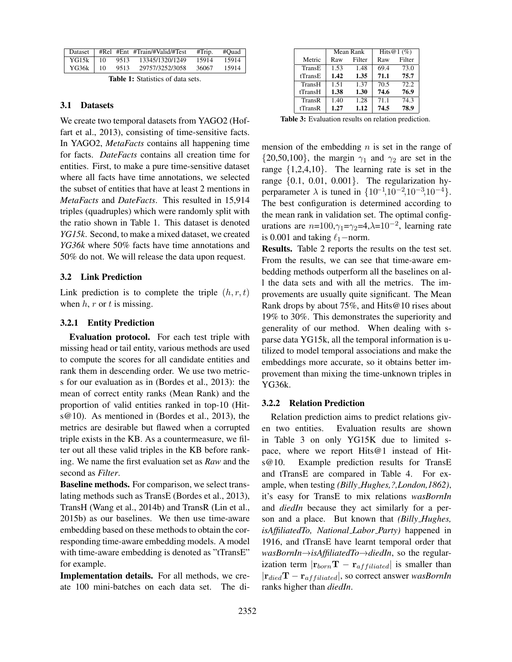| Dataset      |      | #Rel #Ent #Train/#Valid/#Test | #Trip. | #Ouad |
|--------------|------|-------------------------------|--------|-------|
| $YG15k$ 10   | 9513 | 13345/1320/1249               | 15914  | 15914 |
| $YG36k$   10 | 9513 | 29757/3252/3058               | 36067  | 15914 |
|              |      |                               |        |       |

| <b>Table 1:</b> Statistics of data sets. |  |
|------------------------------------------|--|
|                                          |  |

### 3.1 Datasets

We create two temporal datasets from YAGO2 (Hoffart et al., 2013), consisting of time-sensitive facts. In YAGO2, *MetaFacts* contains all happening time for facts. *DateFacts* contains all creation time for entities. First, to make a pure time-sensitive dataset where all facts have time annotations, we selected the subset of entities that have at least 2 mentions in *MetaFacts* and *DateFacts*. This resulted in 15,914 triples (quadruples) which were randomly split with the ratio shown in Table 1. This dataset is denoted *YG15k*. Second, to make a mixed dataset, we created *YG36k* where 50% facts have time annotations and 50% do not. We will release the data upon request.

### 3.2 Link Prediction

Link prediction is to complete the triple  $(h, r, t)$ when  $h, r$  or  $t$  is missing.

### 3.2.1 Entity Prediction

Evaluation protocol. For each test triple with missing head or tail entity, various methods are used to compute the scores for all candidate entities and rank them in descending order. We use two metrics for our evaluation as in (Bordes et al., 2013): the mean of correct entity ranks (Mean Rank) and the proportion of valid entities ranked in top-10 (Hits@10). As mentioned in (Bordes et al., 2013), the metrics are desirable but flawed when a corrupted triple exists in the KB. As a countermeasure, we filter out all these valid triples in the KB before ranking. We name the first evaluation set as *Raw* and the second as *Filter*.

Baseline methods. For comparison, we select translating methods such as TransE (Bordes et al., 2013), TransH (Wang et al., 2014b) and TransR (Lin et al., 2015b) as our baselines. We then use time-aware embedding based on these methods to obtain the corresponding time-aware embedding models. A model with time-aware embedding is denoted as "tTransE" for example.

Implementation details. For all methods, we create 100 mini-batches on each data set. The di-

|         |      | Mean Rank | Hits $@1(%$ |        |  |
|---------|------|-----------|-------------|--------|--|
| Metric  | Raw  | Filter    | Raw         | Filter |  |
| TransE  | 1.53 | 1.48      | 69.4        | 73.0   |  |
| tTransE | 1.42 | 1.35      | 71.1        | 75.7   |  |
| TransH  | 1.51 | 1.37      | 70.5        | 72.2   |  |
| tTransH | 1.38 | 1.30      | 74.6        | 76.9   |  |
| TransR  | 1.40 | 1.28      | 71.1        | 74.3   |  |
| tTransR | 1.27 | 1.12      | 74.5        | 78.9   |  |

Table 3: Evaluation results on relation prediction.

mension of the embedding  $n$  is set in the range of  $\{20,50,100\}$ , the margin  $\gamma_1$  and  $\gamma_2$  are set in the range  $\{1,2,4,10\}$ . The learning rate is set in the range  $\{0.1, 0.01, 0.001\}$ . The regularization hyperparameter  $\lambda$  is tuned in  $\{10^{-1}, 10^{-2}, 10^{-3}, 10^{-4}\}.$ The best configuration is determined according to the mean rank in validation set. The optimal configurations are  $n=100, \gamma_1=\gamma_2=4, \lambda=10^{-2}$ , learning rate is 0.001 and taking  $\ell_1$ −norm.

Results. Table 2 reports the results on the test set. From the results, we can see that time-aware embedding methods outperform all the baselines on all the data sets and with all the metrics. The improvements are usually quite significant. The Mean Rank drops by about 75%, and Hits@10 rises about 19% to 30%. This demonstrates the superiority and generality of our method. When dealing with sparse data YG15k, all the temporal information is utilized to model temporal associations and make the embeddings more accurate, so it obtains better improvement than mixing the time-unknown triples in YG36k.

#### 3.2.2 Relation Prediction

Relation prediction aims to predict relations given two entities. Evaluation results are shown in Table 3 on only YG15K due to limited space, where we report Hits@1 instead of Hits@10. Example prediction results for TransE and tTransE are compared in Table 4. For example, when testing *(Billy Hughes,?,London,1862)*, it's easy for TransE to mix relations *wasBornIn* and *diedIn* because they act similarly for a person and a place. But known that *(Billy Hughes, isAffiliatedTo, National Labor Party)* happened in 1916, and tTransE have learnt temporal order that *wasBornIn*→*isAffiliatedTo*→*diedIn*, so the regularization term  $|\mathbf{r}_{born}\mathbf{T} - \mathbf{r}_{affiliated}|$  is smaller than |rdiedT − raf f iliated|, so correct answer *wasBornIn* ranks higher than *diedIn*.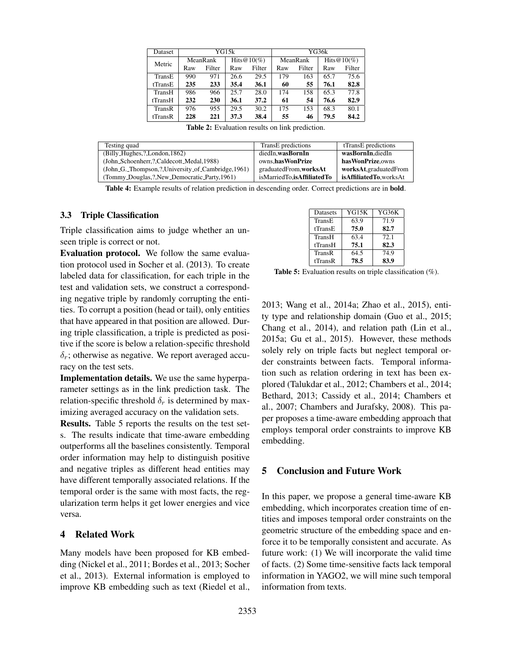| Dataset | YG15k                      |        |      |          |     | YG36k          |      |        |
|---------|----------------------------|--------|------|----------|-----|----------------|------|--------|
| Metric  | Hits $@10(\%)$<br>MeanRank |        |      | MeanRank |     | Hits $@10(\%)$ |      |        |
|         | Raw                        | Filter | Raw  | Filter   | Raw | Filter         | Raw  | Filter |
| TransE  | 990                        | 971    | 26.6 | 29.5     | 179 | 163            | 65.7 | 75.6   |
| tTransE | 235                        | 233    | 35.4 | 36.1     | 60  | 55             | 76.1 | 82.8   |
| TransH  | 986                        | 966    | 25.7 | 28.0     | 174 | 158            | 65.3 | 77.8   |
| tTransH | 232                        | 230    | 36.1 | 37.2     | 61  | 54             | 76.6 | 82.9   |
| TransR  | 976                        | 955    | 29.5 | 30.2     | 175 | 153            | 68.3 | 80.1   |
| tTransR | 228                        | 221    | 37.3 | 38.4     | 55  | 46             | 79.5 | 84.2   |

Table 2: Evaluation results on link prediction.

| Testing quad                                      | TransE predictions         | tTransE predictions    |
|---------------------------------------------------|----------------------------|------------------------|
| (Billy_Hughes,?,London,1862)                      | diedIn.wasBornIn           | wasBornIn.diedIn       |
| (John_Schoenherr,?,Caldecott_Medal,1988)          | owns.hasWonPrize           | has Won Prize.owns     |
| (John_G._Thompson,?,University_of_Cambridge,1961) | graduatedFrom, worksAt     | worksAt,graduatedFrom  |
| (Tommy_Douglas,?,New_Democratic_Party,1961)       | isMarriedTo.isAffiliatedTo | isAffiliatedTo.worksAt |

Table 4: Example results of relation prediction in descending order. Correct predictions are in bold.

#### 3.3 Triple Classification

Triple classification aims to judge whether an unseen triple is correct or not.

Evaluation protocol. We follow the same evaluation protocol used in Socher et al. (2013). To create labeled data for classification, for each triple in the test and validation sets, we construct a corresponding negative triple by randomly corrupting the entities. To corrupt a position (head or tail), only entities that have appeared in that position are allowed. During triple classification, a triple is predicted as positive if the score is below a relation-specific threshold  $\delta_r$ ; otherwise as negative. We report averaged accuracy on the test sets.

Implementation details. We use the same hyperparameter settings as in the link prediction task. The relation-specific threshold  $\delta_r$  is determined by maximizing averaged accuracy on the validation sets.

Results. Table 5 reports the results on the test sets. The results indicate that time-aware embedding outperforms all the baselines consistently. Temporal order information may help to distinguish positive and negative triples as different head entities may have different temporally associated relations. If the temporal order is the same with most facts, the regularization term helps it get lower energies and vice versa.

# 4 Related Work

Many models have been proposed for KB embedding (Nickel et al., 2011; Bordes et al., 2013; Socher et al., 2013). External information is employed to improve KB embedding such as text (Riedel et al.,

| Datasets | YG15K | YG36K |
|----------|-------|-------|
| TransE   | 63.9  | 71.9  |
| tTransE  | 75.0  | 82.7  |
| TransH   | 63.4  | 72.1  |
| tTransH  | 75.1  | 82.3  |
| TransR   | 64.5  | 74.9  |
| tTransR  | 78.5  | 83.9  |

Table 5: Evaluation results on triple classification (%).

2013; Wang et al., 2014a; Zhao et al., 2015), entity type and relationship domain (Guo et al., 2015; Chang et al., 2014), and relation path (Lin et al., 2015a; Gu et al., 2015). However, these methods solely rely on triple facts but neglect temporal order constraints between facts. Temporal information such as relation ordering in text has been explored (Talukdar et al., 2012; Chambers et al., 2014; Bethard, 2013; Cassidy et al., 2014; Chambers et al., 2007; Chambers and Jurafsky, 2008). This paper proposes a time-aware embedding approach that employs temporal order constraints to improve KB embedding.

## 5 Conclusion and Future Work

In this paper, we propose a general time-aware KB embedding, which incorporates creation time of entities and imposes temporal order constraints on the geometric structure of the embedding space and enforce it to be temporally consistent and accurate. As future work: (1) We will incorporate the valid time of facts. (2) Some time-sensitive facts lack temporal information in YAGO2, we will mine such temporal information from texts.